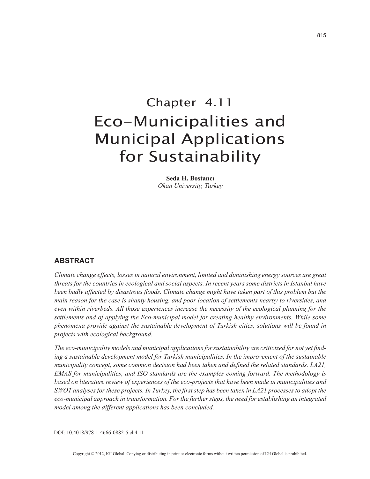# Chapter 4.11 Eco-Municipalities and Municipal Applications for Sustainability

**Seda H. Bostancı** *Okan University, Turkey*

### **ABSTRACT**

*Climate change effects, losses in natural environment, limited and diminishing energy sources are great threats for the countries in ecological and social aspects. In recent years some districts in Istanbul have been badly affected by disastrous floods. Climate change might have taken part of this problem but the main reason for the case is shanty housing, and poor location of settlements nearby to riversides, and even within riverbeds. All those experiences increase the necessity of the ecological planning for the settlements and of applying the Eco-municipal model for creating healthy environments. While some phenomena provide against the sustainable development of Turkish cities, solutions will be found in projects with ecological background.*

*The eco-municipality models and municipal applications for sustainability are criticized for not yet finding a sustainable development model for Turkish municipalities. In the improvement of the sustainable municipality concept, some common decision had been taken and defined the related standards. LA21, EMAS for municipalities, and ISO standards are the examples coming forward. The methodology is based on literature review of experiences of the eco-projects that have been made in municipalities and SWOT analyses for these projects. In Turkey, the first step has been taken in LA21 processes to adopt the eco-municipal approach in transformation. For the further steps, the need for establishing an integrated model among the different applications has been concluded.*

DOI: 10.4018/978-1-4666-0882-5.ch4.11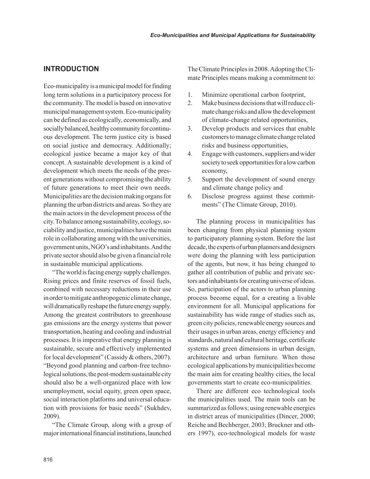# **INTRODUCTION**

Eco-municipality is a municipal model for finding long term solutions in a participatory process for the community. The model is based on innovative municipal management system. Eco-municipality can be defined as ecologically, economically, and socially balanced, healthy community for continuous development. The term justice city is based on social justice and democracy. Additionally; ecological justice became a major key of that concept. A sustainable development is a kind of development which meets the needs of the present generations without compromising the ability of future generations to meet their own needs. Municipalities are the decision making organs for planning the urban districts and areas. So they are the main actors in the development process of the city. To balance among sustainability, ecology, sociability and justice, municipalities have the main role in collaborating among with the universities, government units, NGO's and inhabitants. And the private sector should also be given a financial role in sustainable municipal applications.

"The world is facing energy supply challenges. Rising prices and finite reserves of fossil fuels, combined with necessary reductions in their use in order to mitigate anthropogenic climate change, will dramatically reshape the future energy supply. Among the greatest contributors to greenhouse gas emissions are the energy systems that power transportation, heating and cooling and industrial processes. It is imperative that energy planning is sustainable, secure and effectively implemented for local development" (Cassidy & others, 2007). "Beyond good planning and carbon-free technological solutions, the post-modern sustainable city should also be a well-organized place with low unemployment, social equity, green open space, social interaction platforms and universal education with provisions for basic needs" (Sukhdev, 2009).

"The Climate Group, along with a group of major international financial institutions, launched The Climate Principles in 2008. Adopting the Climate Principles means making a commitment to:

- 1. Minimize operational carbon footprint,
- 2. Make business decisions that will reduce climate change risks and allow the development of climate-change related opportunities,
- 3. Develop products and services that enable customers to manage climate change related risks and business opportunities,
- 4. Engage with customers, suppliers and wider society to seek opportunities for a low carbon economy,
- 5. Support the development of sound energy and climate change policy and
- 6. Disclose progress against these commitments" (The Climate Group, 2010).

The planning process in municipalities has been changing from physical planning system to participatory planning system. Before the last decade, the experts of urban planners and designers were doing the planning with less participation of the agents, but now, it has being changed to gather all contribution of public and private sectors and inhabitants for creating universe of ideas. So, participation of the actors to urban planning process become equal, for a creating a livable environment for all. Municipal applications for sustainability has wide range of studies such as, green city policies, renewable energy sources and their usages in urban areas, energy efficiency and standards, natural and cultural heritage, certificate systems and green dimensions in urban design, architecture and urban furniture. When those ecological applications by municipalities become the main aim for creating healthy cities, the local governments start to create eco-municipalities.

There are different eco technological tools the municipalities used. The main tools can be summarized as follows; using renewable energies in district areas of municipalities (Dincer, 2000; Reiche and Bechberger, 2003; Bruckner and others 1997), eco-technological models for waste